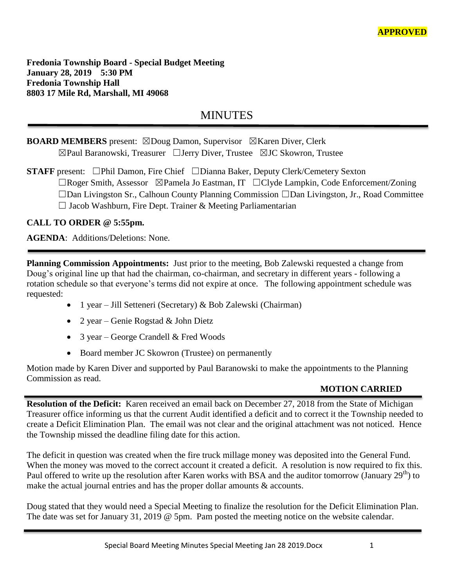**Fredonia Township Board - Special Budget Meeting January 28, 2019 5:30 PM Fredonia Township Hall 8803 17 Mile Rd, Marshall, MI 49068**

# **MINUTES**

# **BOARD MEMBERS** present: ⊠Doug Damon, Supervisor ⊠Karen Diver, Clerk ☒Paul Baranowski, Treasurer ☐Jerry Diver, Trustee ☒JC Skowron, Trustee

**STAFF** present: □Phil Damon, Fire Chief □Dianna Baker, Deputy Clerk/Cemetery Sexton ☐Roger Smith, Assessor ☒Pamela Jo Eastman, IT ☐Clyde Lampkin, Code Enforcement/Zoning ☐Dan Livingston Sr., Calhoun County Planning Commission ☐Dan Livingston, Jr., Road Committee ☐ Jacob Washburn, Fire Dept. Trainer & Meeting Parliamentarian

**CALL TO ORDER @ 5:55pm.**

**AGENDA**: Additions/Deletions: None.

**Planning Commission Appointments:** Just prior to the meeting, Bob Zalewski requested a change from Doug's original line up that had the chairman, co-chairman, and secretary in different years - following a rotation schedule so that everyone's terms did not expire at once. The following appointment schedule was requested:

- 1 year Jill Setteneri (Secretary) & Bob Zalewski (Chairman)
- 2 year Genie Rogstad & John Dietz
- 3 year George Crandell & Fred Woods
- Board member JC Skowron (Trustee) on permanently

Motion made by Karen Diver and supported by Paul Baranowski to make the appointments to the Planning Commission as read.

## **MOTION CARRIED**

**Resolution of the Deficit:** Karen received an email back on December 27, 2018 from the State of Michigan Treasurer office informing us that the current Audit identified a deficit and to correct it the Township needed to create a Deficit Elimination Plan. The email was not clear and the original attachment was not noticed. Hence the Township missed the deadline filing date for this action.

The deficit in question was created when the fire truck millage money was deposited into the General Fund. When the money was moved to the correct account it created a deficit. A resolution is now required to fix this. Paul offered to write up the resolution after Karen works with BSA and the auditor tomorrow (January 29<sup>th</sup>) to make the actual journal entries and has the proper dollar amounts & accounts.

Doug stated that they would need a Special Meeting to finalize the resolution for the Deficit Elimination Plan. The date was set for January 31, 2019 @ 5pm. Pam posted the meeting notice on the website calendar.